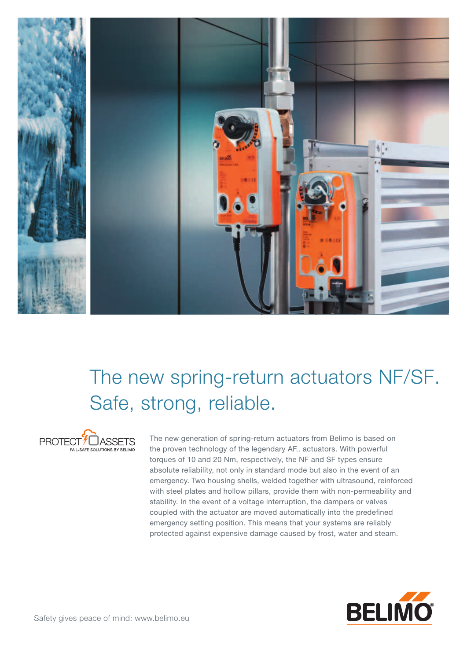

## The new spring-return actuators NF/SF. Safe, strong, reliable.



The new generation of spring-return actuators from Belimo is based on the proven technology of the legendary AF.. actuators. With powerful torques of 10 and 20 Nm, respectively, the NF and SF types ensure absolute reliability, not only in standard mode but also in the event of an emergency. Two housing shells, welded together with ultrasound, reinforced with steel plates and hollow pillars, provide them with non-permeability and stability. In the event of a voltage interruption, the dampers or valves coupled with the actuator are moved automatically into the predefined emergency setting position. This means that your systems are reliably protected against expensive damage caused by frost, water and steam.